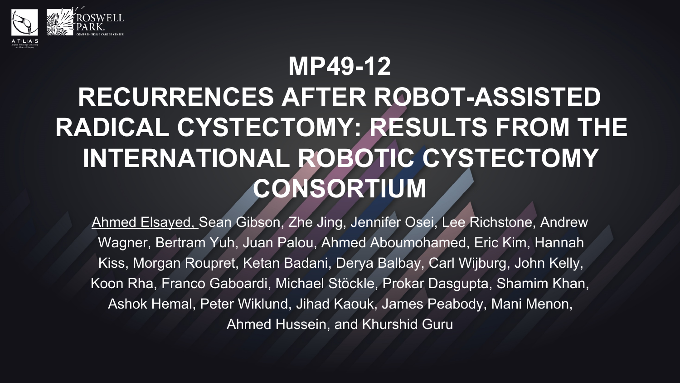

## **MP49-12 RECURRENCES AFTER ROBOT-ASSISTED RADICAL CYSTECTOMY: RESULTS FROM THE INTERNATIONAL ROBOTIC CYSTECTOMY CONSORTIUM**

Ahmed Elsayed, Sean Gibson, Zhe Jing, Jennifer Osei, Lee Richstone, Andrew Wagner, Bertram Yuh, Juan Palou, Ahmed Aboumohamed, Eric Kim, Hannah Kiss, Morgan Roupret, Ketan Badani, Derya Balbay, Carl Wijburg, John Kelly, Koon Rha, Franco Gaboardi, Michael Stöckle, Prokar Dasgupta, Shamim Khan, Ashok Hemal, Peter Wiklund, Jihad Kaouk, James Peabody, Mani Menon, Ahmed Hussein, and Khurshid Guru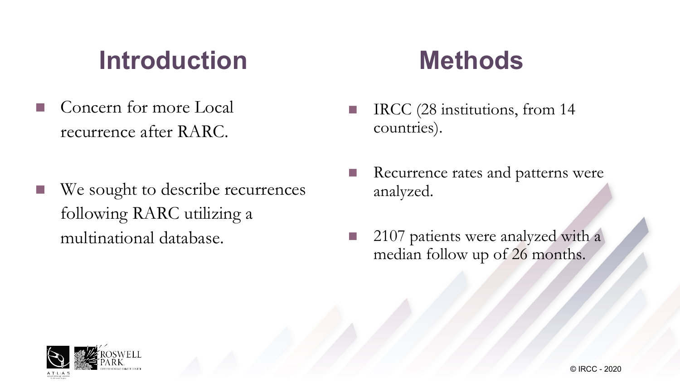## **Introduction**

- Concern for more Local recurrence after RARC.
- We sought to describe recurrences following RARC utilizing a multinational database.

## **Methods**

- **n** IRCC (28 institutions, from 14 countries).
- **n** Recurrence rates and patterns were analyzed.
- $\blacksquare$  2107 patients were analyzed with a median follow up of 26 months.